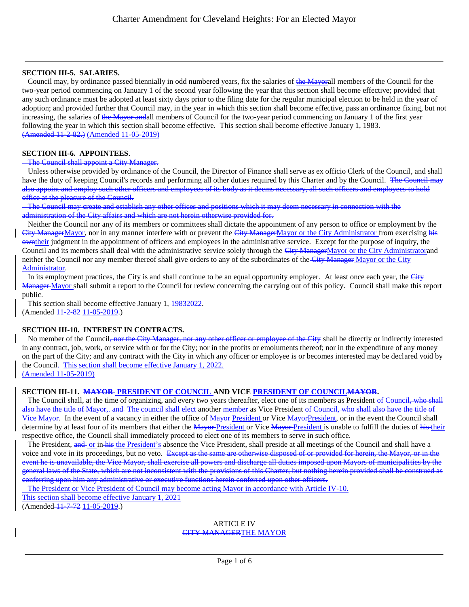### **SECTION III-5. SALARIES.**

Council may, by ordinance passed biennially in odd numbered years, fix the salaries of the Mayorall members of the Council for the two-year period commencing on January 1 of the second year following the year that this section shall become effective; provided that any such ordinance must be adopted at least sixty days prior to the filing date for the regular municipal election to be held in the year of adoption; and provided further that Council may, in the year in which this section shall become effective, pass an ordinance fixing, but not increasing, the salaries of the Mayor andall members of Council for the two-year period commencing on January 1 of the first year following the year in which this section shall become effective. This section shall become effective January 1, 1983. (Amended 11-2-82.) (Amended 11-05-2019)

## **SECTION III-6. APPOINTEES**.

## The Council shall appoint a City Manager.

 Unless otherwise provided by ordinance of the Council, the Director of Finance shall serve as ex officio Clerk of the Council, and shall have the duty of keeping Council's records and performing all other duties required by this Charter and by the Council. The Council may also appoint and employ such other officers and employees of its body as it deems necessary, all such officers and employees to hold office at the pleasure of the Council.

 The Council may create and establish any other offices and positions which it may deem necessary in connection with the administration of the City affairs and which are not herein otherwise provided for.

 Neither the Council nor any of its members or committees shall dictate the appointment of any person to office or employment by the City ManagerMayor, nor in any manner interfere with or prevent the City ManagerMayor or the City Administrator from exercising his owntheir judgment in the appointment of officers and employees in the administrative service. Except for the purpose of inquiry, the Council and its members shall deal with the administrative service solely through the City ManagerMayor or the City Administratorand neither the Council nor any member thereof shall give orders to any of the subordinates of the City Manager Mayor or the City Administrator.

In its employment practices, the City is and shall continue to be an equal opportunity employer. At least once each year, the City Manager Mayor shall submit a report to the Council for review concerning the carrying out of this policy. Council shall make this report public.

This section shall become effective January 1, 19832022. (Amended 11 2 82 11 - 05 - 2019.)

# **SECTION III-10. INTEREST IN CONTRACTS.**

No member of the Council, nor the City Manager, nor any other officer or employee of the City shall be directly or indirectly interested in any contract, job, work, or service with or for the City; nor in the profits or emoluments thereof; nor in the expenditure of any money on the part of the City; and any contract with the City in which any officer or employee is or becomes interested may be declared void by the Council. This section shall become effective January 1, 2022. (Amended 11-05-2019)

# **SECTION III-11. MAYOR PRESIDENT OF COUNCIL AND VICE PRESIDENT OF COUNCILMAYOR.**

The Council shall, at the time of organizing, and every two years thereafter, elect one of its members as President of Council, who shall also have the title of Mayor, and The council shall elect another member as Vice President of Council, who shall also have the title of Vice Mayor. In the event of a vacancy in either the office of Mayor-President or Vice-Mayor-President, or in the event the Council shall determine by at least four of its members that either the Mayor-President or Vice Mayor-President is unable to fulfill the duties of his their respective office, the Council shall immediately proceed to elect one of its members to serve in such office.

The President, and or in his the President's absence the Vice President, shall preside at all meetings of the Council and shall have a voice and vote in its proceedings, but no veto. Except as the same are otherwise disposed of or provided for herein, the Mayor, or in the event he is unavailable, the Vice Mayor, shall exercise all powers and discharge all duties imposed upon Mayors of municipalities by the general laws of the State, which are not inconsistent with the provisions of this Charter; but nothing herein provided shall be construed conferring upon him any administrative or executive functions herein conferred upon other officers.

The President or Vice President of Council may become acting Mayor in accordance with Article IV-10.

This section shall become effective January 1, 2021

(Amended  $-11-7-72$  11-05-2019.)

#### ARTICLE IV CITY MANAGERTHE MAYOR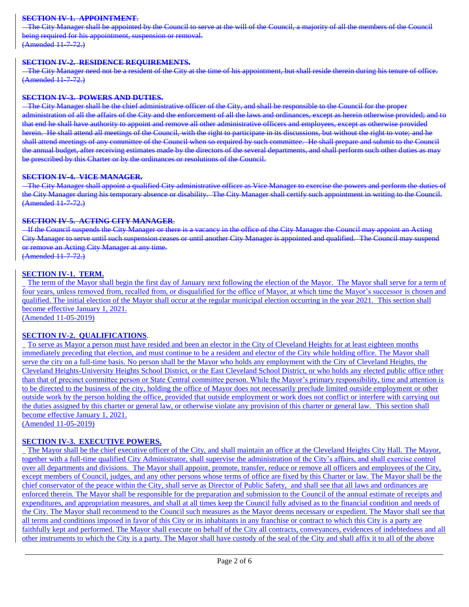### **SECTION IV-1. APPOINTMENT**.

 The City Manager shall be appointed by the Council to serve at the will of the Council, a majority of all the members of the Council being required for his appointment, suspension or removal. (Amended 11-7-72.)

#### **SECTION IV-2. RESIDENCE REQUIREMENTS.**

 The City Manager need not be a resident of the City at the time of his appointment, but shall reside therein during his tenure of office. (Amended 11-7-72.)

#### **SECTION IV-3. POWERS AND DUTIES.**

 The City Manager shall be the chief administrative officer of the City, and shall be responsible to the Council for the proper administration of all the affairs of the City and the enforcement of all the laws and ordinances, except as herein otherwise provided; and to that end he shall have authority to appoint and remove all other administrative officers and employees, except as otherwise provided herein. He shall attend all meetings of the Council, with the right to participate in its discussions, but without the right to vote; and he shall attend meetings of any committee of the Council when so required by such committee. He shall prepare and submit to the Council the annual budget, after receiving estimates made by the directors of the several departments, and shall perform such other duties as may be prescribed by this Charter or by the ordinances or resolutions of the Council.

#### **SECTION IV-4. VICE MANAGER.**

 The City Manager shall appoint a qualified City administrative officer as Vice Manager to exercise the powers and perform the duties of the City Manager during his temporary absence or disability. The City Manager shall certify such appointment in writing to the Council. (Amended 11-7-72.)

### **SECTION IV-5. ACTING CITY MANAGER**.

 If the Council suspends the City Manager or there is a vacancy in the office of the City Manager the Council may appoint an Acting City Manager to serve until such suspension ceases or until another City Manager is appointed and qualified. The Council may suspend or remove an Acting City Manager at any time.

(Amended 11-7-72.)

## **SECTION IV-1. TERM.**

The term of the Mayor shall begin the first day of January next following the election of the Mayor. The Mayor shall serve for a term of four years, unless removed from, recalled from, or disqualified for the office of Mayor, at which time the Mayor's successor is chosen and qualified. The initial election of the Mayor shall occur at the regular municipal election occurring in the year 2021. This section shall become effective January 1, 2021.

(Amended 11-05-2019)

### **SECTION IV-2. QUALIFICATIONS**.

To serve as Mayor a person must have resided and been an elector in the City of Cleveland Heights for at least eighteen months immediately preceding that election, and must continue to be a resident and elector of the City while holding office. The Mayor shall serve the city on a full-time basis. No person shall be the Mayor who holds any employment with the City of Cleveland Heights, the Cleveland Heights-University Heights School District, or the East Cleveland School District, or who holds any elected public office other than that of precinct committee person or State Central committee person. While the Mayor's primary responsibility, time and attention is to be directed to the business of the city, holding the office of Mayor does not necessarily preclude limited outside employment or other outside work by the person holding the office, provided that outside employment or work does not conflict or interfere with carrying out the duties assigned by this charter or general law, or otherwise violate any provision of this charter or general law. This section shall become effective January 1, 2021.

(Amended 11-05-2019)

## **SECTION IV-3. EXECUTIVE POWERS.**

The Mayor shall be the chief executive officer of the City, and shall maintain an office at the Cleveland Heights City Hall. The Mayor, together with a full-time qualified City Administrator, shall supervise the administration of the City's affairs, and shall exercise control over all departments and divisions. The Mayor shall appoint, promote, transfer, reduce or remove all officers and employees of the City, except members of Council, judges, and any other persons whose terms of office are fixed by this Charter or law. The Mayor shall be the chief conservator of the peace within the City, shall serve as Director of Public Safety, and shall see that all laws and ordinances are enforced therein. The Mayor shall be responsible for the preparation and submission to the Council of the annual estimate of receipts and expenditures, and appropriation measures, and shall at all times keep the Council fully advised as to the financial condition and needs of the City. The Mayor shall recommend to the Council such measures as the Mayor deems necessary or expedient. The Mayor shall see that all terms and conditions imposed in favor of this City or its inhabitants in any franchise or contract to which this City is a party are faithfully kept and performed. The Mayor shall execute on behalf of the City all contracts, conveyances, evidences of indebtedness and all other instruments to which the City is a party. The Mayor shall have custody of the seal of the City and shall affix it to all of the above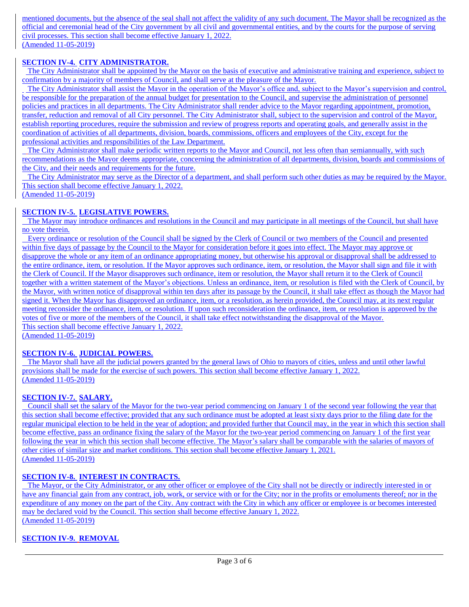mentioned documents, but the absence of the seal shall not affect the validity of any such document. The Mayor shall be recognized as the official and ceremonial head of the City government by all civil and governmental entities, and by the courts for the purpose of serving civil processes. This section shall become effective January 1, 2022. (Amended 11-05-2019)

# **SECTION IV-4. CITY ADMINISTRATOR.**

 The City Administrator shall be appointed by the Mayor on the basis of executive and administrative training and experience, subject to confirmation by a majority of members of Council, and shall serve at the pleasure of the Mayor.

 The City Administrator shall assist the Mayor in the operation of the Mayor's office and, subject to the Mayor's supervision and control, be responsible for the preparation of the annual budget for presentation to the Council, and supervise the administration of personnel policies and practices in all departments. The City Administrator shall render advice to the Mayor regarding appointment, promotion, transfer, reduction and removal of all City personnel. The City Administrator shall, subject to the supervision and control of the Mayor, establish reporting procedures, require the submission and review of progress reports and operating goals, and generally assist in the coordination of activities of all departments, division, boards, commissions, officers and employees of the City, except for the professional activities and responsibilities of the Law Department.

The City Administrator shall make periodic written reports to the Mayor and Council, not less often than semiannually, with such recommendations as the Mayor deems appropriate, concerning the administration of all departments, division, boards and commissions of the City, and their needs and requirements for the future.

 The City Administrator may serve as the Director of a department, and shall perform such other duties as may be required by the Mayor. This section shall become effective January 1, 2022.

(Amended 11-05-2019)

# **SECTION IV-5. LEGISLATIVE POWERS.**

 The Mayor may introduce ordinances and resolutions in the Council and may participate in all meetings of the Council, but shall have no vote therein.

 Every ordinance or resolution of the Council shall be signed by the Clerk of Council or two members of the Council and presented within five days of passage by the Council to the Mayor for consideration before it goes into effect. The Mayor may approve or disapprove the whole or any item of an ordinance appropriating money, but otherwise his approval or disapproval shall be addressed to the entire ordinance, item, or resolution. If the Mayor approves such ordinance, item, or resolution, the Mayor shall sign and file it with the Clerk of Council. If the Mayor disapproves such ordinance, item or resolution, the Mayor shall return it to the Clerk of Council together with a written statement of the Mayor's objections. Unless an ordinance, item, or resolution is filed with the Clerk of Council, by the Mayor, with written notice of disapproval within ten days after its passage by the Council, it shall take effect as though the Mayor had signed it. When the Mayor has disapproved an ordinance, item, or a resolution, as herein provided, the Council may, at its next regular meeting reconsider the ordinance, item, or resolution. If upon such reconsideration the ordinance, item, or resolution is approved by the votes of five or more of the members of the Council, it shall take effect notwithstanding the disapproval of the Mayor. This section shall become effective January 1, 2022.

(Amended 11-05-2019)

# **SECTION IV-6. JUDICIAL POWERS.**

 The Mayor shall have all the judicial powers granted by the general laws of Ohio to mayors of cities, unless and until other lawful provisions shall be made for the exercise of such powers. This section shall become effective January 1, 2022. (Amended 11-05-2019)

# **SECTION IV-7. SALARY.**

 Council shall set the salary of the Mayor for the two-year period commencing on January 1 of the second year following the year that this section shall become effective; provided that any such ordinance must be adopted at least sixty days prior to the filing date for the regular municipal election to be held in the year of adoption; and provided further that Council may, in the year in which this section shall become effective, pass an ordinance fixing the salary of the Mayor for the two-year period commencing on January 1 of the first year following the year in which this section shall become effective. The Mayor's salary shall be comparable with the salaries of mayors of other cities of similar size and market conditions. This section shall become effective January 1, 2021. (Amended 11-05-2019)

# **SECTION IV-8. INTEREST IN CONTRACTS.**

 The Mayor, or the City Administrator, or any other officer or employee of the City shall not be directly or indirectly interested in or have any financial gain from any contract, job, work, or service with or for the City; nor in the profits or emoluments thereof; nor in the expenditure of any money on the part of the City. Any contract with the City in which any officer or employee is or becomes interested may be declared void by the Council. This section shall become effective January 1, 2022. (Amended 11-05-2019)

# **SECTION IV-9. REMOVAL**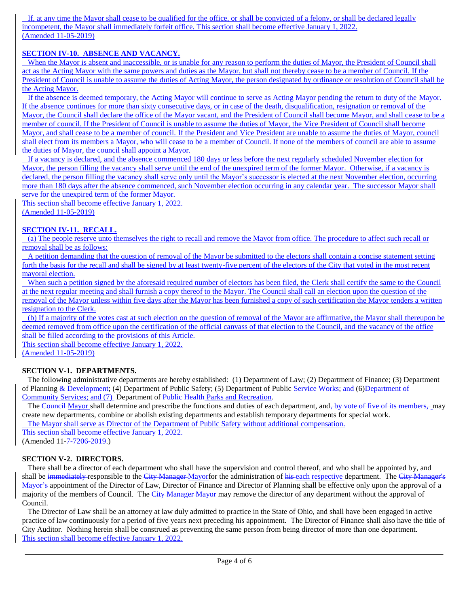If, at any time the Mayor shall cease to be qualified for the office, or shall be convicted of a felony, or shall be declared legally incompetent, the Mayor shall immediately forfeit office. This section shall become effective January 1, 2022. (Amended 11-05-2019)

# **SECTION IV-10. ABSENCE AND VACANCY.**

 When the Mayor is absent and inaccessible, or is unable for any reason to perform the duties of Mayor, the President of Council shall act as the Acting Mayor with the same powers and duties as the Mayor, but shall not thereby cease to be a member of Council. If the President of Council is unable to assume the duties of Acting Mayor, the person designated by ordinance or resolution of Council shall be the Acting Mayor.

 If the absence is deemed temporary, the Acting Mayor will continue to serve as Acting Mayor pending the return to duty of the Mayor. If the absence continues for more than sixty consecutive days, or in case of the death, disqualification, resignation or removal of the Mayor, the Council shall declare the office of the Mayor vacant, and the President of Council shall become Mayor, and shall cease to be a member of council. If the President of Council is unable to assume the duties of Mayor, the Vice President of Council shall become Mayor, and shall cease to be a member of council. If the President and Vice President are unable to assume the duties of Mayor, council shall elect from its members a Mayor, who will cease to be a member of Council. If none of the members of council are able to assume the duties of Mayor, the council shall appoint a Mayor.

 If a vacancy is declared, and the absence commenced 180 days or less before the next regularly scheduled November election for Mayor, the person filling the vacancy shall serve until the end of the unexpired term of the former Mayor. Otherwise, if a vacancy is declared, the person filling the vacancy shall serve only until the Mayor's successor is elected at the next November election, occurring more than 180 days after the absence commenced, such November election occurring in any calendar year. The successor Mayor shall serve for the unexpired term of the former Mayor.

This section shall become effective January 1, 2022.

(Amended 11-05-2019)

# **SECTION IV-11. RECALL.**

(a) The people reserve unto themselves the right to recall and remove the Mayor from office. The procedure to affect such recall or removal shall be as follows:

 A petition demanding that the question of removal of the Mayor be submitted to the electors shall contain a concise statement setting forth the basis for the recall and shall be signed by at least twenty-five percent of the electors of the City that voted in the most recent mayoral election.

When such a petition signed by the aforesaid required number of electors has been filed, the Clerk shall certify the same to the Council at the next regular meeting and shall furnish a copy thereof to the Mayor. The Council shall call an election upon the question of the removal of the Mayor unless within five days after the Mayor has been furnished a copy of such certification the Mayor tenders a written resignation to the Clerk.

(b) If a majority of the votes cast at such election on the question of removal of the Mayor are affirmative, the Mayor shall thereupon be deemed removed from office upon the certification of the official canvass of that election to the Council, and the vacancy of the office shall be filled according to the provisions of this Article.

This section shall become effective January 1, 2022. (Amended 11-05-2019)

# **SECTION V-1. DEPARTMENTS.**

 The following administrative departments are hereby established: (1) Department of Law; (2) Department of Finance; (3) Department of Planning & Development; (4) Department of Public Safety; (5) Department of Public Service Works; and (6)Department of Community Services; and (7) Department of Public Health Parks and Recreation.

The Council Mayor shall determine and prescribe the functions and duties of each department, and, by vote of five of its members, may create new departments, combine or abolish existing departments and establish temporary departments for special work.

The Mayor shall serve as Director of the Department of Public Safety without additional compensation.

This section shall become effective January 1, 2022.

(Amended 11-7-7206-2019.)

# **SECTION V-2. DIRECTORS.**

 There shall be a director of each department who shall have the supervision and control thereof, and who shall be appointed by, and shall be immediately responsible to the City Manager Mayorfor the administration of his each respective department. The City Manager's Mayor's appointment of the Director of Law, Director of Finance and Director of Planning shall be effective only upon the approval of a majority of the members of Council. The City Manager-Mayor may remove the director of any department without the approval of Council.

 The Director of Law shall be an attorney at law duly admitted to practice in the State of Ohio, and shall have been engaged in active practice of law continuously for a period of five years next preceding his appointment. The Director of Finance shall also have the title of City Auditor. Nothing herein shall be construed as preventing the same person from being director of more than one department. This section shall become effective January 1, 2022.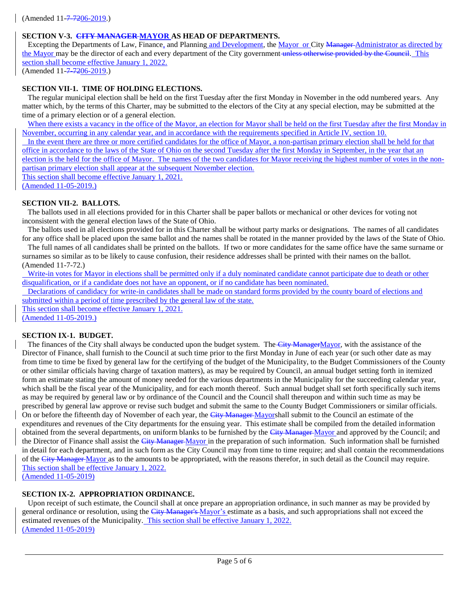# **SECTION V-3. CITY MANAGER MAYOR AS HEAD OF DEPARTMENTS.**

Excepting the Departments of Law, Finance, and Planning and Development, the Mayor or City Manager-Administrator as directed by the Mayor may be the director of each and every department of the City government unless otherwise provided by the Council. This section shall become effective January 1, 2022.

(Amended 11-7-7206-2019.)

## **SECTION VII-1. TIME OF HOLDING ELECTIONS.**

 The regular municipal election shall be held on the first Tuesday after the first Monday in November in the odd numbered years. Any matter which, by the terms of this Charter, may be submitted to the electors of the City at any special election, may be submitted at the time of a primary election or of a general election.

When there exists a vacancy in the office of the Mayor, an election for Mayor shall be held on the first Tuesday after the first Monday in November, occurring in any calendar year, and in accordance with the requirements specified in Article IV, section 10.

 In the event there are three or more certified candidates for the office of Mayor, a non-partisan primary election shall be held for that office in accordance to the laws of the State of Ohio on the second Tuesday after the first Monday in September, in the year that an election is the held for the office of Mayor. The names of the two candidates for Mayor receiving the highest number of votes in the nonpartisan primary election shall appear at the subsequent November election.

This section shall become effective January 1, 2021.

(Amended 11-05-2019.)

## **SECTION VII-2. BALLOTS.**

 The ballots used in all elections provided for in this Charter shall be paper ballots or mechanical or other devices for voting not inconsistent with the general election laws of the State of Ohio.

 The ballots used in all elections provided for in this Charter shall be without party marks or designations. The names of all candidates for any office shall be placed upon the same ballot and the names shall be rotated in the manner provided by the laws of the State of Ohio.

 The full names of all candidates shall be printed on the ballots. If two or more candidates for the same office have the same surname or surnames so similar as to be likely to cause confusion, their residence addresses shall be printed with their names on the ballot. (Amended 11-7-72.)

Write-in votes for Mayor in elections shall be permitted only if a duly nominated candidate cannot participate due to death or other disqualification, or if a candidate does not have an opponent, or if no candidate has been nominated.

 Declarations of candidacy for write-in candidates shall be made on standard forms provided by the county board of elections and submitted within a period of time prescribed by the general law of the state.

This section shall become effective January 1, 2021.

(Amended 11-05-2019.)

### **SECTION IX-1. BUDGET.**

The finances of the City shall always be conducted upon the budget system. The City ManagerMayor, with the assistance of the Director of Finance, shall furnish to the Council at such time prior to the first Monday in June of each year (or such other date as may from time to time be fixed by general law for the certifying of the budget of the Municipality, to the Budget Commissioners of the County or other similar officials having charge of taxation matters), as may be required by Council, an annual budget setting forth in itemized form an estimate stating the amount of money needed for the various departments in the Municipality for the succeeding calendar year, which shall be the fiscal year of the Municipality, and for each month thereof. Such annual budget shall set forth specifically such items as may be required by general law or by ordinance of the Council and the Council shall thereupon and within such time as may be prescribed by general law approve or revise such budget and submit the same to the County Budget Commissioners or similar officials. On or before the fifteenth day of November of each year, the City Manager-Mayorshall submit to the Council an estimate of the expenditures and revenues of the City departments for the ensuing year. This estimate shall be compiled from the detailed information obtained from the several departments, on uniform blanks to be furnished by the City Manager-Mayor and approved by the Council; and the Director of Finance shall assist the City Manager Mayor in the preparation of such information. Such information shall be furnished in detail for each department, and in such form as the City Council may from time to time require; and shall contain the recommendations of the City Manager Mayor as to the amounts to be appropriated, with the reasons therefor, in such detail as the Council may require. This section shall be effective January 1, 2022.

(Amended 11-05-2019)

### **SECTION IX-2. APPROPRIATION ORDINANCE.**

 Upon receipt of such estimate, the Council shall at once prepare an appropriation ordinance, in such manner as may be provided by general ordinance or resolution, using the City Manager's Mayor's estimate as a basis, and such appropriations shall not exceed the estimated revenues of the Municipality. This section shall be effective January 1, 2022. (Amended 11-05-2019)